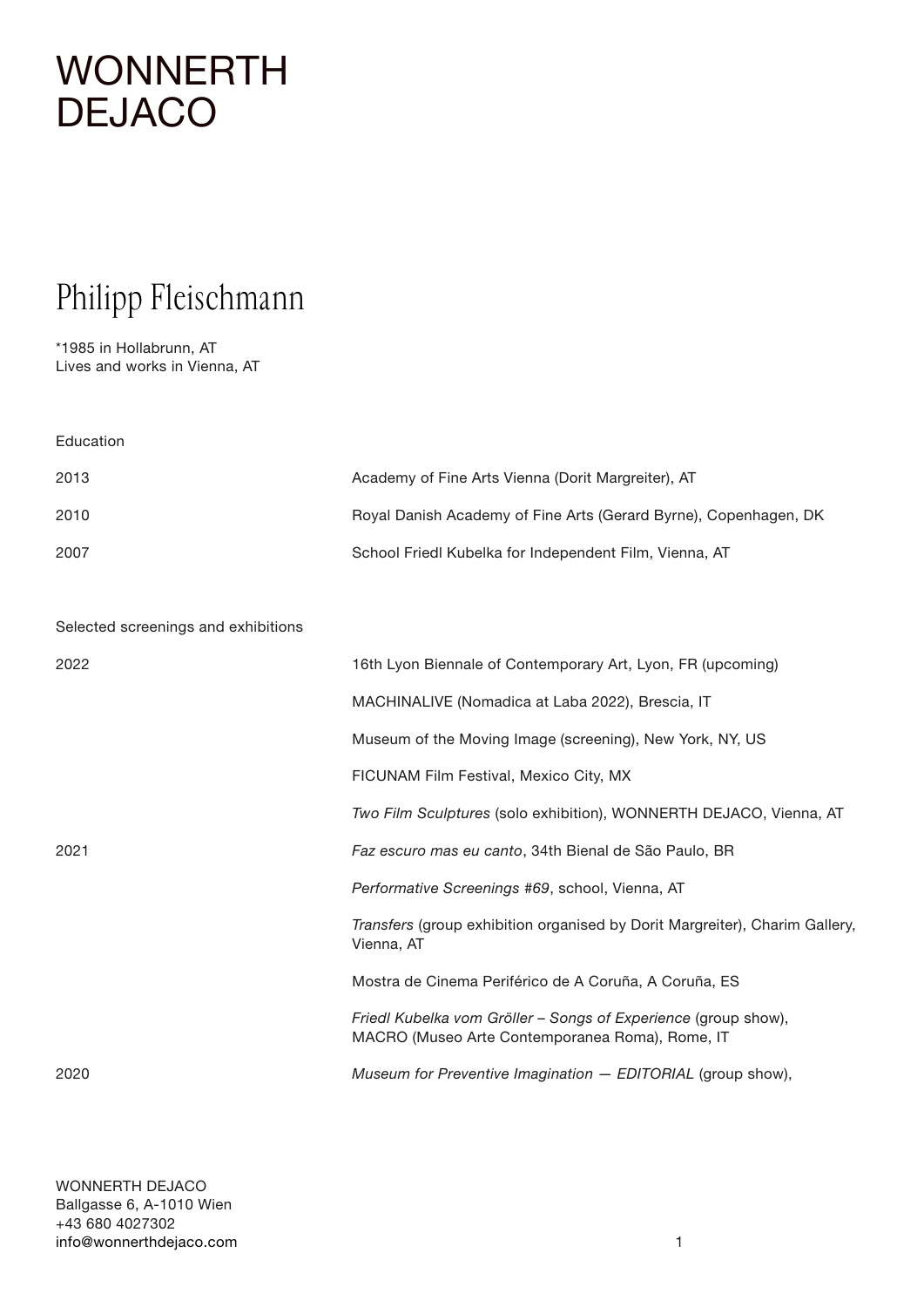# **[WONNERTH](http://www.wonnerthdejaco.com) DEJACO**

## Philipp Fleischmann

\*1985 in Hollabrunn, AT Lives and works in Vienna, AT

Education Academy of Fine Arts Vienna (Dorit Margreiter), AT Royal Danish Academy of Fine Arts (Gerard Byrne), Copenhagen, DK School Friedl Kubelka for Independent Film, Vienna, AT

Selected screenings and exhibitions

| 2022 | 16th Lyon Biennale of Contemporary Art, Lyon, FR (upcoming)                                                       |
|------|-------------------------------------------------------------------------------------------------------------------|
|      | MACHINALIVE (Nomadica at Laba 2022), Brescia, IT                                                                  |
|      | Museum of the Moving Image (screening), New York, NY, US                                                          |
|      | FICUNAM Film Festival, Mexico City, MX                                                                            |
|      | <i>Two Film Sculptures</i> (solo exhibition), WONNERTH DEJACO, Vienna, AT                                         |
| 2021 | Faz escuro mas eu canto, 34th Bienal de São Paulo, BR                                                             |
|      | Performative Screenings #69, school, Vienna, AT                                                                   |
|      | Transfers (group exhibition organised by Dorit Margreiter), Charim Gallery,<br>Vienna, AT                         |
|      | Mostra de Cinema Periférico de A Coruña, A Coruña, ES                                                             |
|      | Friedl Kubelka vom Gröller - Songs of Experience (group show),<br>MACRO (Museo Arte Contemporanea Roma), Rome, IT |
| 2020 | Museum for Preventive Imagination - EDITORIAL (group show),                                                       |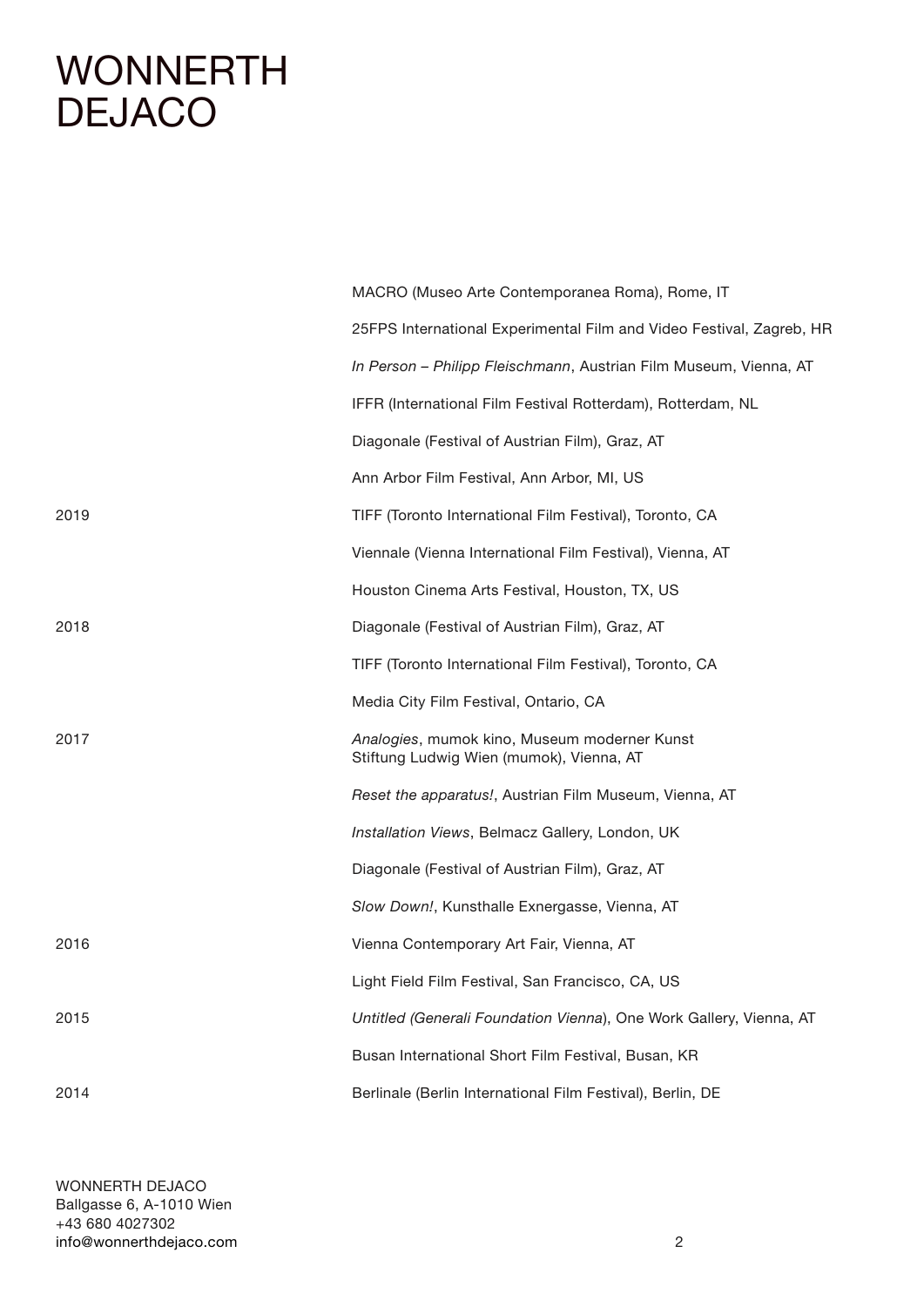### **[WONNERTH](http://www.wonnerthdejaco.com) DEJACO**

|      | MACRO (Museo Arte Contemporanea Roma), Rome, IT                                          |
|------|------------------------------------------------------------------------------------------|
|      | 25FPS International Experimental Film and Video Festival, Zagreb, HR                     |
|      | In Person - Philipp Fleischmann, Austrian Film Museum, Vienna, AT                        |
|      | IFFR (International Film Festival Rotterdam), Rotterdam, NL                              |
|      | Diagonale (Festival of Austrian Film), Graz, AT                                          |
|      | Ann Arbor Film Festival, Ann Arbor, MI, US                                               |
| 2019 | TIFF (Toronto International Film Festival), Toronto, CA                                  |
|      | Viennale (Vienna International Film Festival), Vienna, AT                                |
|      | Houston Cinema Arts Festival, Houston, TX, US                                            |
| 2018 | Diagonale (Festival of Austrian Film), Graz, AT                                          |
|      | TIFF (Toronto International Film Festival), Toronto, CA                                  |
|      | Media City Film Festival, Ontario, CA                                                    |
| 2017 | Analogies, mumok kino, Museum moderner Kunst<br>Stiftung Ludwig Wien (mumok), Vienna, AT |
|      | Reset the apparatus!, Austrian Film Museum, Vienna, AT                                   |
|      | Installation Views, Belmacz Gallery, London, UK                                          |
|      | Diagonale (Festival of Austrian Film), Graz, AT                                          |
|      | Slow Down!, Kunsthalle Exnergasse, Vienna, AT                                            |
| 2016 | Vienna Contemporary Art Fair, Vienna, AT                                                 |
|      | Light Field Film Festival, San Francisco, CA, US                                         |
| 2015 | Untitled (Generali Foundation Vienna), One Work Gallery, Vienna, AT                      |
|      | Busan International Short Film Festival, Busan, KR                                       |
| 2014 | Berlinale (Berlin International Film Festival), Berlin, DE                               |